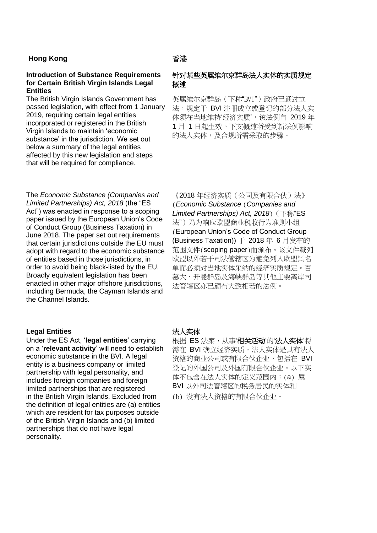## **Hong Kong 香港**

### **Introduction of Substance Requirements for Certain British Virgin Islands Legal Entities**

The British Virgin Islands Government has passed legislation, with effect from 1 January 2019, requiring certain legal entities incorporated or registered in the British Virgin Islands to maintain 'economic substance' in the jurisdiction. We set out below a summary of the legal entities affected by this new legislation and steps that will be required for compliance.

# 针对某些英属维尔京群岛法人实体的实质规定 概述

英属维尔京群岛(下称"BVI")政府已通过立 法,规定于 BVI 注册成立或登记的部分法人实 体须在当地维持'经济实质',该法例自 2019年 1 月 1 日起生效。下文概述将受到新法例影响 的法人实体,及合规所需采取的步骤。

The *Economic Substance (Companies and Limited Partnerships) Act, 2018* (the "ES Act") was enacted in response to a scoping paper issued by the European Union's Code of Conduct Group (Business Taxation) in June 2018. The paper set out requirements that certain jurisdictions outside the EU must adopt with regard to the economic substance of entities based in those jurisdictions, in order to avoid being black-listed by the EU. Broadly equivalent legislation has been enacted in other major offshore jurisdictions, including Bermuda, the Cayman Islands and the Channel Islands.

### **Legal Entities** 法人实体

Under the ES Act, '**legal entities**' carrying on a '**relevant activity**' will need to establish economic substance in the BVI. A legal entity is a business company or limited partnership with legal personality, and includes foreign companies and foreign limited partnerships that are registered in the British Virgin Islands. Excluded from the definition of legal entities are (a) entities which are resident for tax purposes outside of the British Virgin Islands and (b) limited partnerships that do not have legal personality.

《2018 年经济实质(公司及有限合伙)法》 (*Economic Substance* (*Companies and Limited Partnerships) Act, 2018*)(下称"ES 法")乃为响应欧盟商业税收行为准则小组 (European Union's Code of Conduct Group (Business Taxation)) 于 2018 年 6 月发布的 范围文件(scoping paper)而颁布。该文件载列 欧盟以外若干司法管辖区为避免列入欧盟黑名 单而必须对当地实体采纳的经济实质规定。百 慕大、开曼群岛及海峡群岛等其他主要离岸司 法管辖区亦已颁布大致相若的法例。

根据 ES 法案,从事'相关活动'的'法人实体'将 需在 BVI 确立经济实质。法人实体是具有法人 资格的商业公司或有限合伙企业,包括在 BVI 登记的外国公司及外国有限合伙企业。以下实 体不包含在法人实体的定义范围内:(a) 属 BVI 以外司法管辖区的税务居民的实体和

(b) 没有法人资格的有限合伙企业。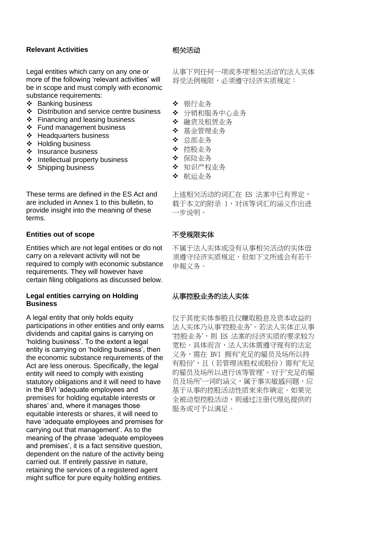### **Relevant Activities** 相关活动

Legal entities which carry on any one or more of the following 'relevant activities' will be in scope and must comply with economic substance requirements:

- ❖ Banking business
- ❖ Distribution and service centre business
- ❖ Financing and leasing business
- ❖ Fund management business
- ❖ Headquarters business
- ❖ Holding business
- ❖ Insurance business
- ❖ Intellectual property business
- ❖ Shipping business

These terms are defined in the ES Act and are included in Annex 1 to this bulletin, to provide insight into the meaning of these terms.

#### **Entities out of scope** 不受规限实体

Entities which are not legal entities or do not carry on a relevant activity will not be required to comply with economic substance requirements. They will however have certain filing obligations as discussed below.

### **Legal entities carrying on Holding Business**

A legal entity that only holds equity participations in other entities and only earns dividends and capital gains is carrying on 'holding business'. To the extent a legal entity is carrying on 'holding business', then the economic substance requirements of the Act are less onerous. Specifically, the legal entity will need to comply with existing statutory obligations and it will need to have in the BVI 'adequate employees and premises for holding equitable interests or shares' and, where it manages those equitable interests or shares, it will need to have 'adequate employees and premises for carrying out that management'. As to the meaning of the phrase 'adequate employees and premises', it is a fact sensitive question, dependent on the nature of the activity being carried out. If entirely passive in nature, retaining the services of a registered agent might suffice for pure equity holding entities.

从事下列任何一项或多项'相关活动'的法人实体 将受法例规限,必须遵守经济实质规定:

- ❖ 银行业务
- ❖ 分销和服务中心业务
- ❖ 融资及租赁业务
- ❖ 基金管理业务
- ❖ 总部业务
- ❖ 控股业务
- ❖ 保险业务
- ❖ 知识产权业务
- ❖ 航运业务

上述相关活动的词汇在 ES 法案中已有界定, 载于本文的附录 1,对该等词汇的涵义作出进 一步说明。

不属于法人实体或没有从事相关活动的实体毋 须遵守经济实质规定,但如下文所述会有若干 申報义务。

## 从事控股业务的法人实体

仅于其他实体参股且仅赚取股息及资本收益的 法人实体乃从事'控股业务'。若法人实体正从事 '控股业务',则 ES 法案的经济实质的要求较为 宽松。具体而言,法人实体需遵守现有的法定 义务,需在 BVI 拥有'充足的雇员及场所以持 有股份',且(若管理该股权或股份)需有'充足 的雇员及场所以进行该等管理'。对于'充足的雇 员及场所'一词的涵义,属于事实敏感问题,应 基于从事的控股活动性质來来作确定。如果完 全被动型控股活动,则通过注册代理处提供的 服务或可予以满足。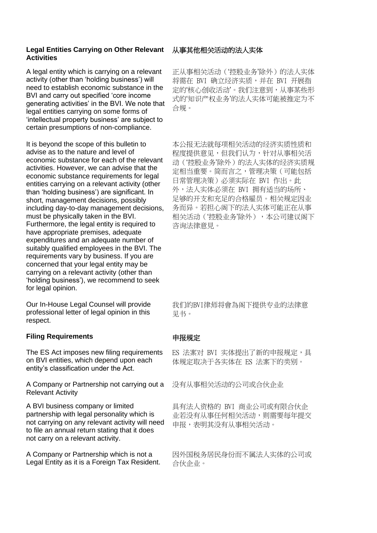### **Legal Entities Carrying on Other Relevant Activities**

A legal entity which is carrying on a relevant activity (other than 'holding business') will need to establish economic substance in the BVI and carry out specified 'core income generating activities' in the BVI. We note that legal entities carrying on some forms of 'intellectual property business' are subject to certain presumptions of non-compliance.

It is beyond the scope of this bulletin to advise as to the nature and level of economic substance for each of the relevant activities. However, we can advise that the economic substance requirements for legal entities carrying on a relevant activity (other than 'holding business') are significant. In short, management decisions, possibly including day-to-day management decisions, must be physically taken in the BVI. Furthermore, the legal entity is required to have appropriate premises, adequate expenditures and an adequate number of suitably qualified employees in the BVI. The requirements vary by business. If you are concerned that your legal entity may be carrying on a relevant activity (other than 'holding business'), we recommend to seek for legal opinion.

Our In-House Legal Counsel will provide professional letter of legal opinion in this respect.

## **Filing Requirements**

The ES Act imposes new filing requirements on BVI entities, which depend upon each entity's classification under the Act.

A Company or Partnership not carrying out a Relevant Activity

A BVI business company or limited partnership with legal personality which is not carrying on any relevant activity will need to file an annual return stating that it does not carry on a relevant activity.

A Company or Partnership which is not a Legal Entity as it is a Foreign Tax Resident.

# 从事其他相关活动的法人实体

正从事相关活动('控股业务'除外)的法人实体 将需在 BVI 确立经济实质,并在 BVI 开展指 定的'核心创收活动'。我们注意到,从事某些形 式的'知识产权业务'的法人实体可能被推定为不 合规。

本公报无法就每项相关活动的经济实质性质和 程度提供意见,但我们认为,针对从事相关活 动('控股业务'除外)的法人实体的经济实质规 定相当重要。简而言之,管理决策(可能包括 日常管理决策)必须实际在 BVI 作出。此 外,法人实体必须在 BVI 拥有适当的场所、 足够的开支和充足的合格雇员。相关规定因业 务而异。若担心阁下的法人实体可能正在从事 相关活动('控股业务'除外),本公司建议阁下 咨询法律意見。

我们的BVI律师将會為阁下提供专业的法律意 见书。

## 申报规定

ES 法案对 BVI 实体提出了新的申报规定,具 体规定取决于各实体在 ES 法案下的类别。

没有从事相关活动的公司或合伙企业

具有法人资格的 BVI 商业公司或有限合伙企 业若没有从事任何相关活动,则需要每年提交 申报,表明其没有从事相关活动。

因外国税务居民身份而不属法人实体的公司或 合伙企业。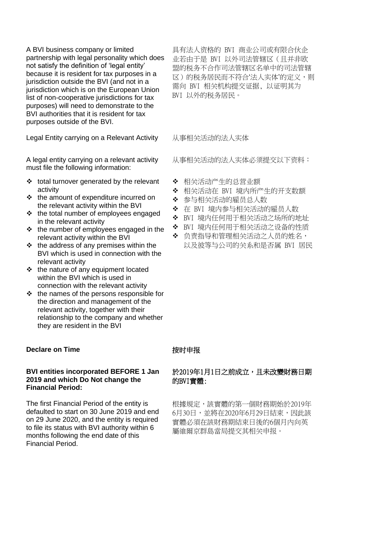A BVI business company or limited partnership with legal personality which does not satisfy the definition of 'legal entity' because it is resident for tax purposes in a jurisdiction outside the BVI (and not in a jurisdiction which is on the European Union list of non-cooperative jurisdictions for tax purposes) will need to demonstrate to the BVI authorities that it is resident for tax purposes outside of the BVI.

Legal Entity carrying on a Relevant Activity 从事相关活动的法人实体

A legal entity carrying on a relevant activity must file the following information:

- ❖ total turnover generated by the relevant activity
- ❖ the amount of expenditure incurred on the relevant activity within the BVI
- ❖ the total number of employees engaged in the relevant activity
- ❖ the number of employees engaged in the relevant activity within the BVI
- ❖ the address of any premises within the BVI which is used in connection with the relevant activity
- ❖ the nature of any equipment located within the BVI which is used in connection with the relevant activity
- ❖ the names of the persons responsible for the direction and management of the relevant activity, together with their relationship to the company and whether they are resident in the BVI

## **Declare on Time Kanadia Transfer Transfer Transfer Transfer Transfer Transfer Transfer Transfer Transfer Transfer Transfer Transfer Transfer Transfer Transfer Transfer Transfer Transfer Transfer Transfer Transfer Trans**

### **BVI entities incorporated BEFORE 1 Jan 2019 and which Do Not change the Financial Period:**

The first Financial Period of the entity is defaulted to start on 30 June 2019 and end on 29 June 2020, and the entity is required to file its status with BVI authority within 6 months following the end date of this Financial Period.

具有法人资格的 BVI 商业公司或有限合伙企 业若由于是 BVI 以外司法管辖区(且并非欧 盟的税务不合作司法管辖区名单中的司法管辖 区)的税务居民而不符合'法人实体'的定义,则 需向 BVI 相关机构提交证据, 以证明其为 BVI 以外的税务居民。

从事相关活动的法人实体必须提交以下资料:

- ❖ 相关活动产生的总营业额
- ❖ 相关活动在 BVI 境内所产生的开支数额
- ❖ 参与相关活动的雇员总人数
- ❖ 在 BVI 境内参与相关活动的雇员人数
- ❖ BVI 境内任何用于相关活动之场所的地址
- ❖ BVI 境内任何用于相关活动之设备的性质
- ❖ 负责指导和管理相关活动之人员的姓名,
	- 以及彼等与公司的关系和是否属 BVI 居民

# 於2019年1月1日之前成立,且未改變財務日期 的BVI實體:

根據規定,該實體的第一個財務期始於2019年 6月30日,並將在2020年6月29日結束,因此該 實體必須在該財務期結束日後的6個月內向英 屬維爾京群島當局提交其相关申报。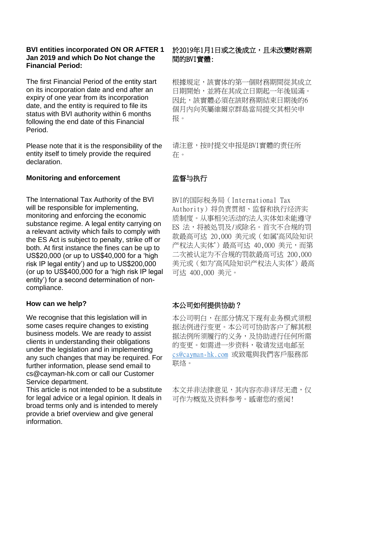## **BVI entities incorporated ON OR AFTER 1 Jan 2019 and which Do Not change the Financial Period:**

The first Financial Period of the entity start on its incorporation date and end after an expiry of one year from its incorporation date, and the entity is required to file its status with BVI authority within 6 months following the end date of this Financial Period.

Please note that it is the responsibility of the entity itself to timely provide the required declaration.

## **Monitoring and enforcement WITH KITTS WITHS WITHS WITHS WITH THE MONEY WITHS WITH THE MONEY WITHS WITHS WITH THE MONEY WITHS WITH THE MONEY WITHS WITH THE MONEY WITH THE MONEY WITH THE MONEY WITH THE MONEY WITH THE MON**

The International Tax Authority of the BVI will be responsible for implementing, monitoring and enforcing the economic substance regime. A legal entity carrying on a relevant activity which fails to comply with the ES Act is subject to penalty, strike off or both. At first instance the fines can be up to US\$20,000 (or up to US\$40,000 for a 'high risk IP legal entity') and up to US\$200,000 (or up to US\$400,000 for a 'high risk IP legal entity') for a second determination of noncompliance.

### **How can we help?**

We recognise that this legislation will in some cases require changes to existing business models. We are ready to assist clients in understanding their obligations under the legislation and in implementing any such changes that may be required. For further information, please send email to cs@cayman-hk.com or call our Customer Service department.

This article is not intended to be a substitute for legal advice or a legal opinion. It deals in broad terms only and is intended to merely provide a brief overview and give general information.

# 於2019年1月1日或之後成立,且未改變財務期 間的BVI實體:

根據規定,該實体的第一個財務期間從其成立 日期開始,並將在其成立日期起一年後屆滿。 因此,該實體必須在該財務期結束日期後的6 個月內向英屬維爾京群島當局提交其相关申 报。

请注意,按时提交申报是BVI實體的责任所 在。

BVI的国际税务局(International Tax Authority)将负责贯彻、监督和执行经济实 质制度。从事相关活动的法人实体如未能遵守 ES 法,将被处罚及/或除名。首次不合规的罚 款最高可达 20,000 美元或(如属'高风险知识 产权法人实体')最高可达 40,000 美元,而第 二次被认定为不合规的罚款最高可达 200,000 美元或(如为'高风险知识产权法人实体')最高 可达 400,000 美元。

### 本公司如何提供协助?

本公司明白,在部分情况下现有业务模式须根 据法例进行变更。本公司可协助客户了解其根 据法例所须履行的义务,及协助进行任何所需 的变更。如需进一步资料,敬请发送电邮至 [cs@cayman-hk.com](mailto:cs@cayman-hk.com) 或致電與我們客戶服務部 联络。

本文并非法律意见,其内容亦非详尽无遗,仅 可作为概览及资料参考。感谢您的垂阅!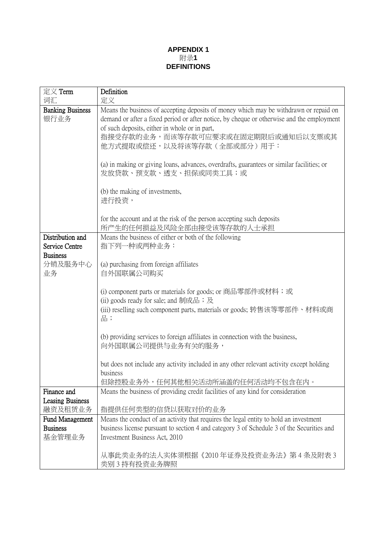# **APPENDIX 1** 附录**1 DEFINITIONS**

| 定义 Term                                   | Definition                                                                                                                                                                         |
|-------------------------------------------|------------------------------------------------------------------------------------------------------------------------------------------------------------------------------------|
| 词汇                                        | 定义                                                                                                                                                                                 |
| <b>Banking Business</b>                   | Means the business of accepting deposits of money which may be withdrawn or repaid on                                                                                              |
| 银行业务                                      | demand or after a fixed period or after notice, by cheque or otherwise and the employment                                                                                          |
|                                           | of such deposits, either in whole or in part,                                                                                                                                      |
|                                           | 指接受存款的业务,而该等存款可应要求或在固定期限后或通知后以支票或其                                                                                                                                                 |
|                                           | 他方式提取或偿还,以及将该等存款(全部或部分)用于:                                                                                                                                                         |
|                                           |                                                                                                                                                                                    |
|                                           | (a) in making or giving loans, advances, overdrafts, guarantees or similar facilities; or                                                                                          |
|                                           | 发放贷款、预支款、透支、担保或同类工具;或                                                                                                                                                              |
|                                           |                                                                                                                                                                                    |
|                                           | (b) the making of investments,<br>进行投资,                                                                                                                                            |
|                                           |                                                                                                                                                                                    |
|                                           | for the account and at the risk of the person accepting such deposits                                                                                                              |
|                                           | 所产生的任何损益及风险全部由接受该等存款的人士承担                                                                                                                                                          |
| Distribution and                          | Means the business of either or both of the following                                                                                                                              |
| Service Centre                            | 指下列一种或两种业务:                                                                                                                                                                        |
| <b>Business</b>                           |                                                                                                                                                                                    |
| 分销及服务中心                                   | (a) purchasing from foreign affiliates                                                                                                                                             |
| 业务                                        | 自外国联属公司购买                                                                                                                                                                          |
|                                           |                                                                                                                                                                                    |
|                                           | (i) component parts or materials for goods; or 商品零部件或材料;或                                                                                                                          |
|                                           | (ii) goods ready for sale; and 制成品; 及                                                                                                                                              |
|                                           | (iii) reselling such component parts, materials or goods; 转售该等零部件、材料或商<br>品;                                                                                                       |
|                                           |                                                                                                                                                                                    |
|                                           | (b) providing services to foreign affiliates in connection with the business,                                                                                                      |
|                                           | 向外国联属公司提供与业务有关的服务,                                                                                                                                                                 |
|                                           |                                                                                                                                                                                    |
|                                           | but does not include any activity included in any other relevant activity except holding                                                                                           |
|                                           | business                                                                                                                                                                           |
|                                           | 但除控股业务外,任何其他相关活动所涵盖的任何活动均不包含在内。                                                                                                                                                    |
| Finance and                               | Means the business of providing credit facilities of any kind for consideration                                                                                                    |
| <b>Leasing Business</b>                   |                                                                                                                                                                                    |
| 融资及租赁业务                                   | 指提供任何类型的信贷以获取对价的业务                                                                                                                                                                 |
| <b>Fund Management</b><br><b>Business</b> | Means the conduct of an activity that requires the legal entity to hold an investment<br>business license pursuant to section 4 and category 3 of Schedule 3 of the Securities and |
| 基金管理业务                                    | Investment Business Act, 2010                                                                                                                                                      |
|                                           |                                                                                                                                                                                    |
|                                           | 从事此类业务的法人实体须根据《2010 年证券及投资业务法》 第 4 条及附表 3                                                                                                                                          |
|                                           | 类别 3 持有投资业务牌照                                                                                                                                                                      |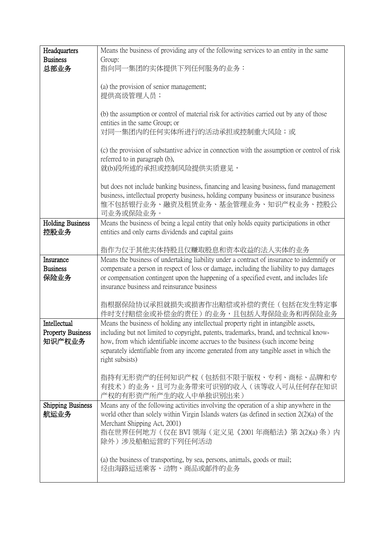| Headquarters                     | Means the business of providing any of the following services to an entity in the same                                                                                                                                                                                                         |
|----------------------------------|------------------------------------------------------------------------------------------------------------------------------------------------------------------------------------------------------------------------------------------------------------------------------------------------|
| <b>Business</b>                  | Group:                                                                                                                                                                                                                                                                                         |
| 总部业务                             | 指向同一集团的实体提供下列任何服务的业务:                                                                                                                                                                                                                                                                          |
|                                  | (a) the provision of senior management;<br>提供高级管理人员;                                                                                                                                                                                                                                           |
|                                  | (b) the assumption or control of material risk for activities carried out by any of those<br>entities in the same Group; or<br>对同一集团内的任何实体所进行的活动承担或控制重大风险;或                                                                                                                                    |
|                                  | (c) the provision of substantive advice in connection with the assumption or control of risk<br>referred to in paragraph (b),<br>就(b)段所述的承担或控制风险提供实质意见,                                                                                                                                        |
|                                  | but does not include banking business, financing and leasing business, fund management<br>business, intellectual property business, holding company business or insurance business<br>惟不包括银行业务、融资及租赁业务、基金管理业务、知识产权业务、控股公<br>司业务或保险业务。                                                          |
| <b>Holding Business</b><br>控股业务  | Means the business of being a legal entity that only holds equity participations in other<br>entities and only earns dividends and capital gains                                                                                                                                               |
|                                  | 指作为仅于其他实体持股且仅赚取股息和资本收益的法人实体的业务                                                                                                                                                                                                                                                                 |
| Insurance                        | Means the business of undertaking liability under a contract of insurance to indemnify or                                                                                                                                                                                                      |
| <b>Business</b>                  | compensate a person in respect of loss or damage, including the liability to pay damages                                                                                                                                                                                                       |
| 保险业务                             | or compensation contingent upon the happening of a specified event, and includes life                                                                                                                                                                                                          |
|                                  | insurance business and reinsurance business                                                                                                                                                                                                                                                    |
|                                  | 指根据保险协议承担就损失或损害作出赔偿或补偿的责任(包括在发生特定事<br>件时支付赔偿金或补偿金的责任)的业务,且包括人寿保险业务和再保险业务                                                                                                                                                                                                                       |
| Intellectual                     | Means the business of holding any intellectual property right in intangible assets,                                                                                                                                                                                                            |
| <b>Property Business</b>         | including but not limited to copyright, patents, trademarks, brand, and technical know-                                                                                                                                                                                                        |
| 知识产权业务                           | how, from which identifiable income accrues to the business (such income being                                                                                                                                                                                                                 |
|                                  | separately identifiable from any income generated from any tangible asset in which the<br>right subsists)                                                                                                                                                                                      |
|                                  |                                                                                                                                                                                                                                                                                                |
|                                  | 指持有无形资产的任何知识产权(包括但不限于版权、专利、商标、品牌和专<br>有技术)的业务,且可为业务带来可识别的收入(该等收入可从任何存在知识<br>产权的有形资产所产生的收入中单独识别出来)                                                                                                                                                                                              |
| <b>Shipping Business</b><br>航运业务 | Means any of the following activities involving the operation of a ship anywhere in the<br>world other than solely within Virgin Islands waters (as defined in section $2(2)(a)$ of the<br>Merchant Shipping Act, 2001)<br>指在世界任何地方(仅在 BVI 领海(定义见《2001 年商船法》第 2(2)(a) 条 )内<br>除外)涉及船舶运营的下列任何活动 |
|                                  | (a) the business of transporting, by sea, persons, animals, goods or mail;<br>经由海路运送乘客、动物、商品或邮件的业务                                                                                                                                                                                             |